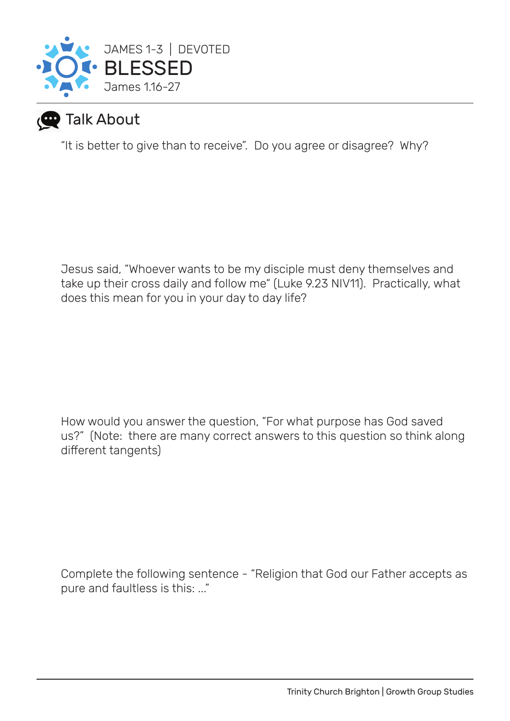

## **P** Talk About

"It is better to give than to receive". Do you agree or disagree? Why?

Jesus said, "Whoever wants to be my disciple must deny themselves and take up their cross daily and follow me" (Luke 9.23 NIV11). Practically, what does this mean for you in your day to day life?

How would you answer the question, "For what purpose has God saved us?" (Note: there are many correct answers to this question so think along different tangents)

Complete the following sentence - "Religion that God our Father accepts as pure and faultless is this: ..."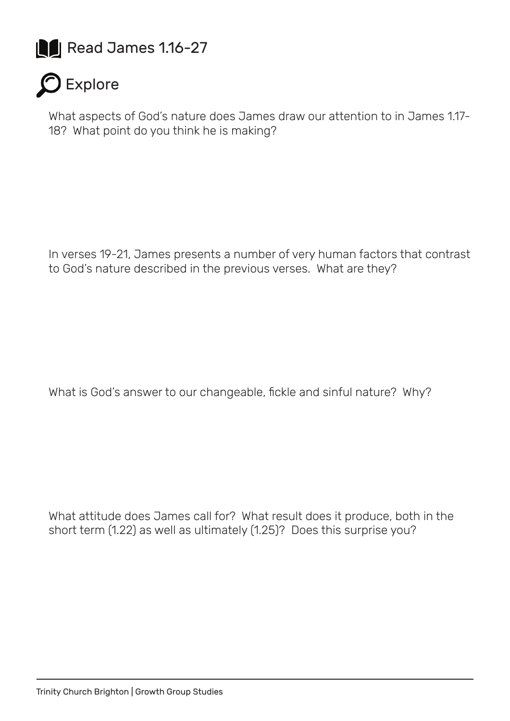



What aspects of God's nature does James draw our attention to in James 1.17- 18? What point do you think he is making?

In verses 19-21, James presents a number of very human factors that contrast to God's nature described in the previous verses. What are they?

What is God's answer to our changeable, fickle and sinful nature? Why?

What attitude does James call for? What result does it produce, both in the short term (1.22) as well as ultimately (1.25)? Does this surprise you?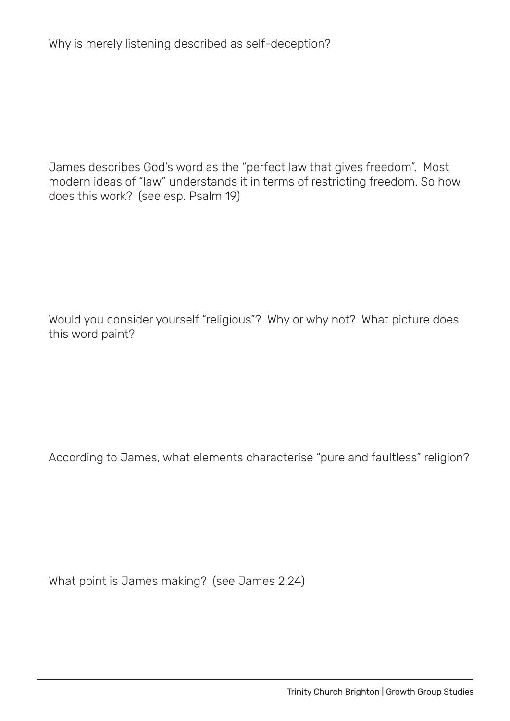Why is merely listening described as self-deception?

James describes God's word as the "perfect law that gives freedom". Most modern ideas of "law" understands it in terms of restricting freedom. So how does this work? (see esp. Psalm 19)

Would you consider yourself "religious"? Why or why not? What picture does this word paint?

According to James, what elements characterise "pure and faultless" religion?

What point is James making? (see James 2.24)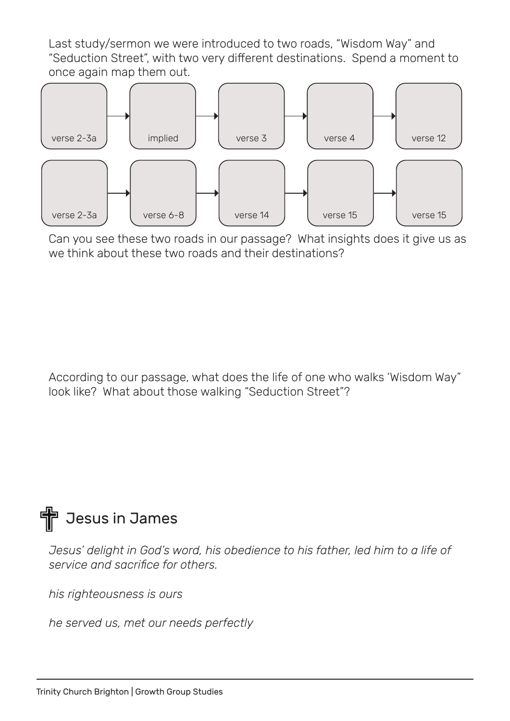Last study/sermon we were introduced to two roads, "Wisdom Way" and "Seduction Street", with two very different destinations. Spend a moment to once again map them out.



Can you see these two roads in our passage? What insights does it give us as we think about these two roads and their destinations?

According to our passage, what does the life of one who walks 'Wisdom Way" look like? What about those walking "Seduction Street"?



*Jesus' delight in God's word, his obedience to his father, led him to a life of service and sacrifice for others.* 

*his righteousness is ours*

*he served us, met our needs perfectly*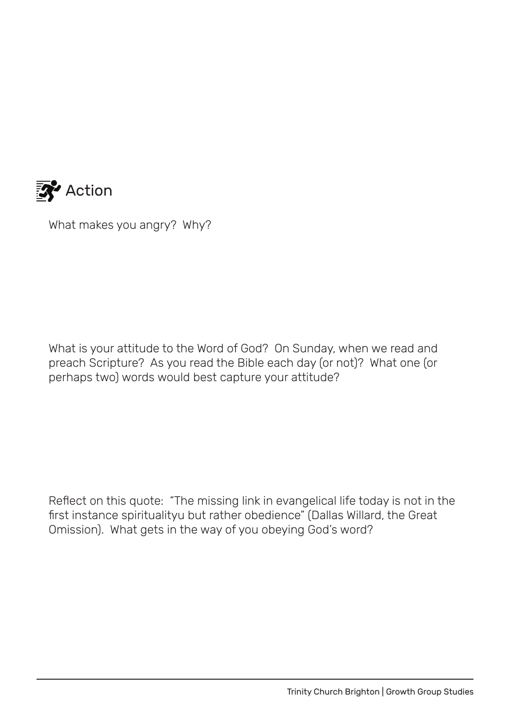

What makes you angry? Why?

What is your attitude to the Word of God? On Sunday, when we read and preach Scripture? As you read the Bible each day (or not)? What one (or perhaps two) words would best capture your attitude?

Reflect on this quote: "The missing link in evangelical life today is not in the first instance spiritualityu but rather obedience" (Dallas Willard, the Great Omission). What gets in the way of you obeying God's word?